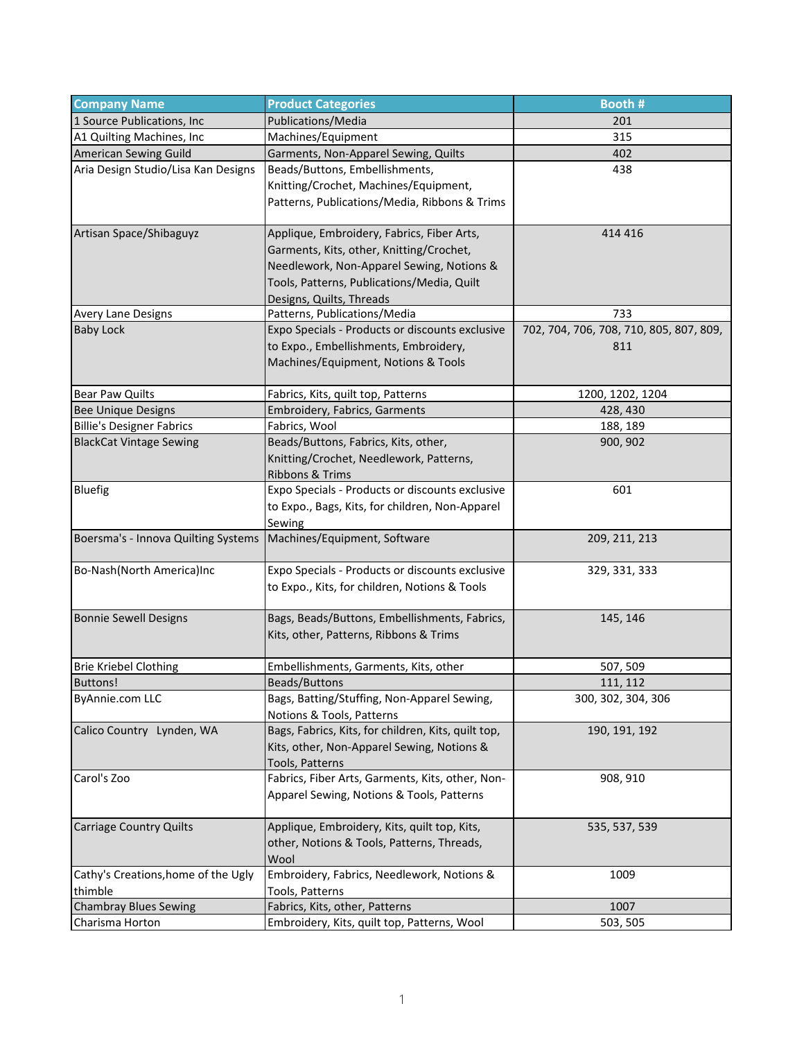| <b>Company Name</b>                                                | <b>Product Categories</b>                           | Booth #                                 |
|--------------------------------------------------------------------|-----------------------------------------------------|-----------------------------------------|
| 1 Source Publications, Inc.                                        | Publications/Media                                  | 201                                     |
| A1 Quilting Machines, Inc                                          | Machines/Equipment                                  | 315                                     |
| American Sewing Guild                                              | Garments, Non-Apparel Sewing, Quilts                | 402                                     |
| Aria Design Studio/Lisa Kan Designs                                | Beads/Buttons, Embellishments,                      | 438                                     |
|                                                                    | Knitting/Crochet, Machines/Equipment,               |                                         |
|                                                                    | Patterns, Publications/Media, Ribbons & Trims       |                                         |
|                                                                    |                                                     |                                         |
| Artisan Space/Shibaguyz                                            | Applique, Embroidery, Fabrics, Fiber Arts,          | 414 416                                 |
|                                                                    | Garments, Kits, other, Knitting/Crochet,            |                                         |
|                                                                    | Needlework, Non-Apparel Sewing, Notions &           |                                         |
|                                                                    | Tools, Patterns, Publications/Media, Quilt          |                                         |
|                                                                    | Designs, Quilts, Threads                            |                                         |
| Avery Lane Designs                                                 | Patterns, Publications/Media                        | 733                                     |
| <b>Baby Lock</b>                                                   | Expo Specials - Products or discounts exclusive     | 702, 704, 706, 708, 710, 805, 807, 809, |
|                                                                    | to Expo., Embellishments, Embroidery,               | 811                                     |
|                                                                    | Machines/Equipment, Notions & Tools                 |                                         |
| Bear Paw Quilts                                                    | Fabrics, Kits, quilt top, Patterns                  | 1200, 1202, 1204                        |
| <b>Bee Unique Designs</b>                                          | Embroidery, Fabrics, Garments                       | 428, 430                                |
| <b>Billie's Designer Fabrics</b>                                   | Fabrics, Wool                                       | 188, 189                                |
| <b>BlackCat Vintage Sewing</b>                                     | Beads/Buttons, Fabrics, Kits, other,                | 900, 902                                |
|                                                                    | Knitting/Crochet, Needlework, Patterns,             |                                         |
|                                                                    | Ribbons & Trims                                     |                                         |
| <b>Bluefig</b>                                                     | Expo Specials - Products or discounts exclusive     | 601                                     |
|                                                                    | to Expo., Bags, Kits, for children, Non-Apparel     |                                         |
|                                                                    | Sewing                                              |                                         |
| Boersma's - Innova Quilting Systems   Machines/Equipment, Software |                                                     | 209, 211, 213                           |
| Bo-Nash(North America)Inc                                          | Expo Specials - Products or discounts exclusive     | 329, 331, 333                           |
|                                                                    | to Expo., Kits, for children, Notions & Tools       |                                         |
|                                                                    |                                                     |                                         |
| <b>Bonnie Sewell Designs</b>                                       | Bags, Beads/Buttons, Embellishments, Fabrics,       | 145, 146                                |
|                                                                    | Kits, other, Patterns, Ribbons & Trims              |                                         |
|                                                                    |                                                     |                                         |
| <b>Brie Kriebel Clothing</b>                                       | Embellishments, Garments, Kits, other               | 507, 509                                |
| <b>Buttons!</b>                                                    | Beads/Buttons                                       | 111, 112                                |
| <b>ByAnnie.com LLC</b>                                             | Bags, Batting/Stuffing, Non-Apparel Sewing,         | 300, 302, 304, 306                      |
|                                                                    | Notions & Tools, Patterns                           |                                         |
| Calico Country Lynden, WA                                          | Bags, Fabrics, Kits, for children, Kits, quilt top, | 190, 191, 192                           |
|                                                                    | Kits, other, Non-Apparel Sewing, Notions &          |                                         |
|                                                                    | Tools, Patterns                                     |                                         |
| Carol's Zoo                                                        | Fabrics, Fiber Arts, Garments, Kits, other, Non-    | 908, 910                                |
|                                                                    | Apparel Sewing, Notions & Tools, Patterns           |                                         |
| <b>Carriage Country Quilts</b>                                     | Applique, Embroidery, Kits, quilt top, Kits,        | 535, 537, 539                           |
|                                                                    | other, Notions & Tools, Patterns, Threads,          |                                         |
|                                                                    | Wool                                                |                                         |
| Cathy's Creations, home of the Ugly                                | Embroidery, Fabrics, Needlework, Notions &          | 1009                                    |
| thimble                                                            | Tools, Patterns                                     |                                         |
| <b>Chambray Blues Sewing</b>                                       | Fabrics, Kits, other, Patterns                      | 1007                                    |
| Charisma Horton                                                    | Embroidery, Kits, quilt top, Patterns, Wool         | 503, 505                                |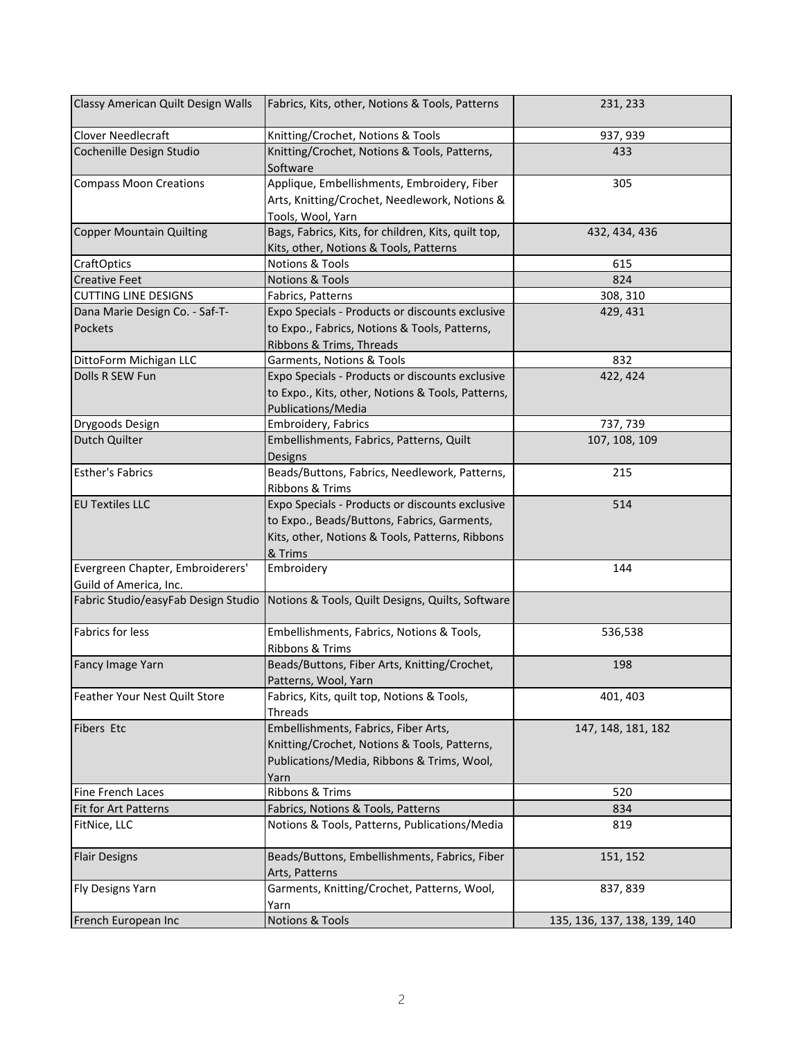| Classy American Quilt Design Walls                         | Fabrics, Kits, other, Notions & Tools, Patterns                                                                                                              | 231, 233                     |
|------------------------------------------------------------|--------------------------------------------------------------------------------------------------------------------------------------------------------------|------------------------------|
| Clover Needlecraft                                         | Knitting/Crochet, Notions & Tools                                                                                                                            | 937, 939                     |
| Cochenille Design Studio                                   | Knitting/Crochet, Notions & Tools, Patterns,<br>Software                                                                                                     | 433                          |
| <b>Compass Moon Creations</b>                              | Applique, Embellishments, Embroidery, Fiber<br>Arts, Knitting/Crochet, Needlework, Notions &<br>Tools, Wool, Yarn                                            | 305                          |
| <b>Copper Mountain Quilting</b>                            | Bags, Fabrics, Kits, for children, Kits, quilt top,<br>Kits, other, Notions & Tools, Patterns                                                                | 432, 434, 436                |
| <b>CraftOptics</b>                                         | <b>Notions &amp; Tools</b>                                                                                                                                   | 615                          |
| <b>Creative Feet</b>                                       | <b>Notions &amp; Tools</b>                                                                                                                                   | 824                          |
| <b>CUTTING LINE DESIGNS</b>                                | Fabrics, Patterns                                                                                                                                            | 308, 310                     |
| Dana Marie Design Co. - Saf-T-<br>Pockets                  | Expo Specials - Products or discounts exclusive<br>to Expo., Fabrics, Notions & Tools, Patterns,<br>Ribbons & Trims, Threads                                 | 429, 431                     |
| DittoForm Michigan LLC                                     | Garments, Notions & Tools                                                                                                                                    | 832                          |
| Dolls R SEW Fun                                            | Expo Specials - Products or discounts exclusive<br>to Expo., Kits, other, Notions & Tools, Patterns,<br>Publications/Media                                   | 422, 424                     |
| Drygoods Design                                            | Embroidery, Fabrics                                                                                                                                          | 737, 739                     |
| Dutch Quilter                                              | Embellishments, Fabrics, Patterns, Quilt<br>Designs                                                                                                          | 107, 108, 109                |
| <b>Esther's Fabrics</b>                                    | Beads/Buttons, Fabrics, Needlework, Patterns,<br>Ribbons & Trims                                                                                             | 215                          |
| <b>EU Textiles LLC</b>                                     | Expo Specials - Products or discounts exclusive<br>to Expo., Beads/Buttons, Fabrics, Garments,<br>Kits, other, Notions & Tools, Patterns, Ribbons<br>& Trims | 514                          |
| Evergreen Chapter, Embroiderers'<br>Guild of America, Inc. | Embroidery                                                                                                                                                   | 144                          |
|                                                            | Fabric Studio/easyFab Design Studio   Notions & Tools, Quilt Designs, Quilts, Software                                                                       |                              |
| Fabrics for less                                           | Embellishments, Fabrics, Notions & Tools,<br>Ribbons & Trims                                                                                                 | 536,538                      |
| Fancy Image Yarn                                           | Beads/Buttons, Fiber Arts, Knitting/Crochet,<br>Patterns, Wool, Yarn                                                                                         | 198                          |
| Feather Your Nest Quilt Store                              | Fabrics, Kits, quilt top, Notions & Tools,<br>Threads                                                                                                        | 401, 403                     |
| Fibers Etc                                                 | Embellishments, Fabrics, Fiber Arts,<br>Knitting/Crochet, Notions & Tools, Patterns,<br>Publications/Media, Ribbons & Trims, Wool,<br>Yarn                   | 147, 148, 181, 182           |
| Fine French Laces                                          | Ribbons & Trims                                                                                                                                              | 520                          |
| Fit for Art Patterns                                       | Fabrics, Notions & Tools, Patterns                                                                                                                           | 834                          |
| FitNice, LLC                                               | Notions & Tools, Patterns, Publications/Media                                                                                                                | 819                          |
| <b>Flair Designs</b>                                       | Beads/Buttons, Embellishments, Fabrics, Fiber<br>Arts, Patterns                                                                                              | 151, 152                     |
| Fly Designs Yarn                                           | Garments, Knitting/Crochet, Patterns, Wool,<br>Yarn                                                                                                          | 837, 839                     |
| French European Inc                                        | <b>Notions &amp; Tools</b>                                                                                                                                   | 135, 136, 137, 138, 139, 140 |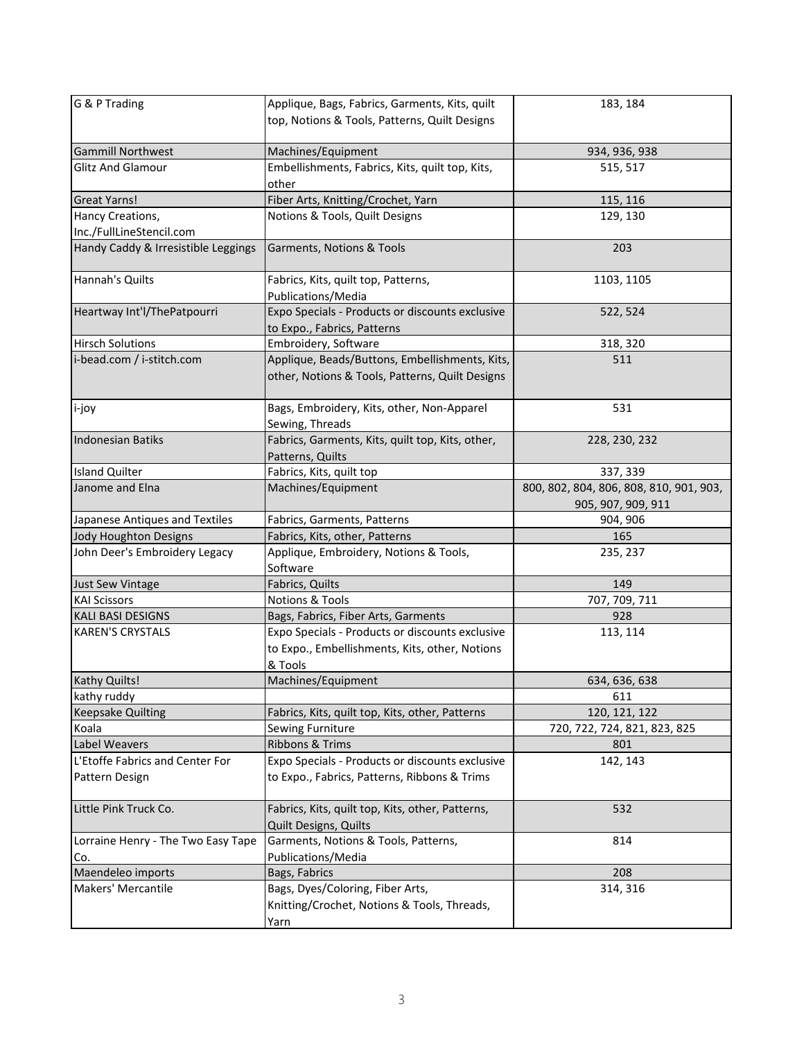| G & P Trading                                     | Applique, Bags, Fabrics, Garments, Kits, quilt<br>top, Notions & Tools, Patterns, Quilt Designs              | 183, 184                                                      |
|---------------------------------------------------|--------------------------------------------------------------------------------------------------------------|---------------------------------------------------------------|
| <b>Gammill Northwest</b>                          | Machines/Equipment                                                                                           | 934, 936, 938                                                 |
| Glitz And Glamour                                 | Embellishments, Fabrics, Kits, quilt top, Kits,<br>other                                                     | 515, 517                                                      |
| Great Yarns!                                      | Fiber Arts, Knitting/Crochet, Yarn                                                                           | 115, 116                                                      |
| Hancy Creations,                                  | Notions & Tools, Quilt Designs                                                                               | 129, 130                                                      |
| Inc./FullLineStencil.com                          |                                                                                                              |                                                               |
| Handy Caddy & Irresistible Leggings               | Garments, Notions & Tools                                                                                    | 203                                                           |
| Hannah's Quilts                                   | Fabrics, Kits, quilt top, Patterns,<br>Publications/Media                                                    | 1103, 1105                                                    |
| Heartway Int'l/ThePatpourri                       | Expo Specials - Products or discounts exclusive<br>to Expo., Fabrics, Patterns                               | 522, 524                                                      |
| <b>Hirsch Solutions</b>                           | Embroidery, Software                                                                                         | 318, 320                                                      |
| i-bead.com / i-stitch.com                         | Applique, Beads/Buttons, Embellishments, Kits,<br>other, Notions & Tools, Patterns, Quilt Designs            | 511                                                           |
| i-joy                                             | Bags, Embroidery, Kits, other, Non-Apparel<br>Sewing, Threads                                                | 531                                                           |
| <b>Indonesian Batiks</b>                          | Fabrics, Garments, Kits, quilt top, Kits, other,<br>Patterns, Quilts                                         | 228, 230, 232                                                 |
| <b>Island Quilter</b>                             | Fabrics, Kits, quilt top                                                                                     | 337, 339                                                      |
| Janome and Elna                                   | Machines/Equipment                                                                                           | 800, 802, 804, 806, 808, 810, 901, 903,<br>905, 907, 909, 911 |
| Japanese Antiques and Textiles                    | Fabrics, Garments, Patterns                                                                                  | 904, 906                                                      |
| Jody Houghton Designs                             | Fabrics, Kits, other, Patterns                                                                               | 165                                                           |
| John Deer's Embroidery Legacy                     | Applique, Embroidery, Notions & Tools,<br>Software                                                           | 235, 237                                                      |
| Just Sew Vintage                                  | Fabrics, Quilts                                                                                              | 149                                                           |
| <b>KAI Scissors</b>                               | Notions & Tools                                                                                              | 707, 709, 711                                                 |
| KALI BASI DESIGNS                                 | Bags, Fabrics, Fiber Arts, Garments                                                                          | 928                                                           |
| <b>KAREN'S CRYSTALS</b>                           | Expo Specials - Products or discounts exclusive<br>to Expo., Embellishments, Kits, other, Notions<br>& Tools | 113, 114                                                      |
| <b>Kathy Quilts!</b>                              | Machines/Equipment                                                                                           | 634, 636, 638                                                 |
| kathy ruddy                                       |                                                                                                              | 611                                                           |
| <b>Keepsake Quilting</b>                          | Fabrics, Kits, quilt top, Kits, other, Patterns                                                              | 120, 121, 122                                                 |
| Koala                                             | Sewing Furniture                                                                                             | 720, 722, 724, 821, 823, 825                                  |
| Label Weavers                                     | Ribbons & Trims                                                                                              | 801                                                           |
| L'Etoffe Fabrics and Center For<br>Pattern Design | Expo Specials - Products or discounts exclusive<br>to Expo., Fabrics, Patterns, Ribbons & Trims              | 142, 143                                                      |
| Little Pink Truck Co.                             | Fabrics, Kits, quilt top, Kits, other, Patterns,<br><b>Quilt Designs, Quilts</b>                             | 532                                                           |
| Lorraine Henry - The Two Easy Tape<br>Co.         | Garments, Notions & Tools, Patterns,<br>Publications/Media                                                   | 814                                                           |
| Maendeleo imports                                 | Bags, Fabrics                                                                                                | 208                                                           |
| Makers' Mercantile                                | Bags, Dyes/Coloring, Fiber Arts,<br>Knitting/Crochet, Notions & Tools, Threads,<br>Yarn                      | 314, 316                                                      |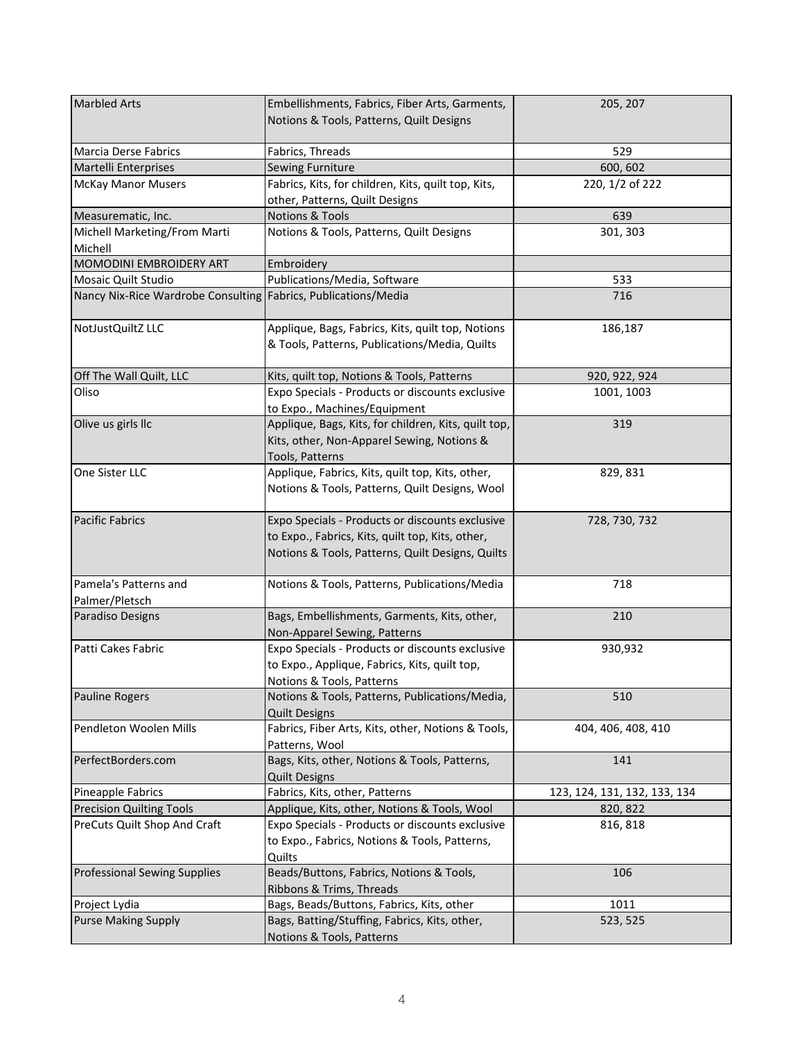| <b>Marbled Arts</b>                                              | Embellishments, Fabrics, Fiber Arts, Garments,       | 205, 207                     |
|------------------------------------------------------------------|------------------------------------------------------|------------------------------|
|                                                                  | Notions & Tools, Patterns, Quilt Designs             |                              |
|                                                                  |                                                      |                              |
| Marcia Derse Fabrics                                             | Fabrics, Threads                                     | 529                          |
| Martelli Enterprises                                             | Sewing Furniture                                     | 600, 602                     |
| <b>McKay Manor Musers</b>                                        | Fabrics, Kits, for children, Kits, quilt top, Kits,  | 220, 1/2 of 222              |
|                                                                  | other, Patterns, Quilt Designs                       |                              |
| Measurematic, Inc.                                               | <b>Notions &amp; Tools</b>                           | 639                          |
| Michell Marketing/From Marti                                     | Notions & Tools, Patterns, Quilt Designs             | 301, 303                     |
| Michell                                                          |                                                      |                              |
| MOMODINI EMBROIDERY ART                                          | Embroidery                                           |                              |
| Mosaic Quilt Studio                                              | Publications/Media, Software                         | 533                          |
| Nancy Nix-Rice Wardrobe Consulting   Fabrics, Publications/Media |                                                      | 716                          |
| NotJustQuiltZ LLC                                                | Applique, Bags, Fabrics, Kits, quilt top, Notions    | 186,187                      |
|                                                                  | & Tools, Patterns, Publications/Media, Quilts        |                              |
|                                                                  |                                                      |                              |
| Off The Wall Quilt, LLC                                          | Kits, quilt top, Notions & Tools, Patterns           | 920, 922, 924                |
| Oliso                                                            | Expo Specials - Products or discounts exclusive      | 1001, 1003                   |
|                                                                  | to Expo., Machines/Equipment                         |                              |
| Olive us girls llc                                               | Applique, Bags, Kits, for children, Kits, quilt top, | 319                          |
|                                                                  | Kits, other, Non-Apparel Sewing, Notions &           |                              |
|                                                                  | Tools, Patterns                                      |                              |
| One Sister LLC                                                   | Applique, Fabrics, Kits, quilt top, Kits, other,     | 829, 831                     |
|                                                                  | Notions & Tools, Patterns, Quilt Designs, Wool       |                              |
|                                                                  |                                                      |                              |
| <b>Pacific Fabrics</b>                                           | Expo Specials - Products or discounts exclusive      | 728, 730, 732                |
|                                                                  | to Expo., Fabrics, Kits, quilt top, Kits, other,     |                              |
|                                                                  | Notions & Tools, Patterns, Quilt Designs, Quilts     |                              |
|                                                                  |                                                      |                              |
| Pamela's Patterns and                                            | Notions & Tools, Patterns, Publications/Media        | 718                          |
| Palmer/Pletsch                                                   |                                                      |                              |
| Paradiso Designs                                                 | Bags, Embellishments, Garments, Kits, other,         | 210                          |
|                                                                  | Non-Apparel Sewing, Patterns                         |                              |
| Patti Cakes Fabric                                               | Expo Specials - Products or discounts exclusive      | 930,932                      |
|                                                                  | to Expo., Applique, Fabrics, Kits, quilt top,        |                              |
|                                                                  | Notions & Tools, Patterns                            |                              |
| Pauline Rogers                                                   | Notions & Tools, Patterns, Publications/Media,       | 510                          |
|                                                                  | <b>Quilt Designs</b>                                 |                              |
| Pendleton Woolen Mills                                           | Fabrics, Fiber Arts, Kits, other, Notions & Tools,   | 404, 406, 408, 410           |
|                                                                  | Patterns, Wool                                       |                              |
| PerfectBorders.com                                               | Bags, Kits, other, Notions & Tools, Patterns,        | 141                          |
|                                                                  | <b>Quilt Designs</b>                                 |                              |
| Pineapple Fabrics                                                | Fabrics, Kits, other, Patterns                       | 123, 124, 131, 132, 133, 134 |
| <b>Precision Quilting Tools</b>                                  | Applique, Kits, other, Notions & Tools, Wool         | 820, 822                     |
| PreCuts Quilt Shop And Craft                                     | Expo Specials - Products or discounts exclusive      | 816, 818                     |
|                                                                  | to Expo., Fabrics, Notions & Tools, Patterns,        |                              |
|                                                                  | Quilts                                               |                              |
| <b>Professional Sewing Supplies</b>                              | Beads/Buttons, Fabrics, Notions & Tools,             | 106                          |
|                                                                  | Ribbons & Trims, Threads                             |                              |
| Project Lydia                                                    | Bags, Beads/Buttons, Fabrics, Kits, other            | 1011                         |
| <b>Purse Making Supply</b>                                       | Bags, Batting/Stuffing, Fabrics, Kits, other,        | 523, 525                     |
|                                                                  | Notions & Tools, Patterns                            |                              |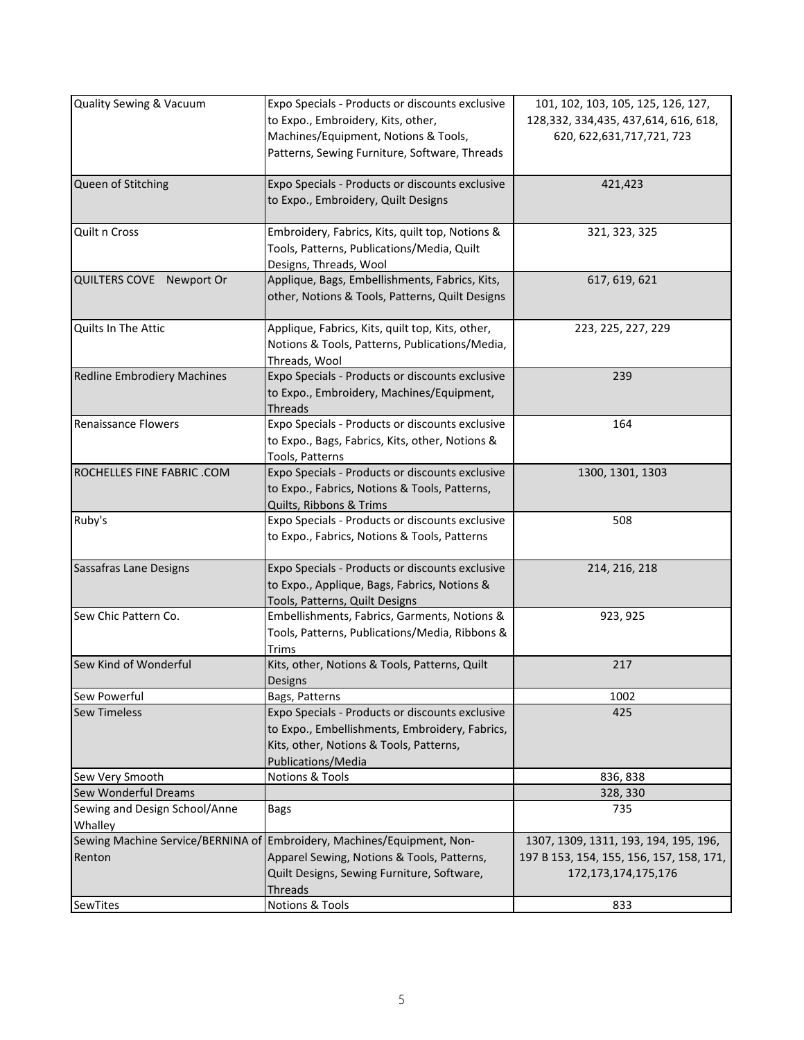| Quality Sewing & Vacuum                  | Expo Specials - Products or discounts exclusive<br>to Expo., Embroidery, Kits, other,<br>Machines/Equipment, Notions & Tools,<br>Patterns, Sewing Furniture, Software, Threads | 101, 102, 103, 105, 125, 126, 127,<br>128, 332, 334, 435, 437, 614, 616, 618,<br>620, 622, 631, 717, 721, 723 |
|------------------------------------------|--------------------------------------------------------------------------------------------------------------------------------------------------------------------------------|---------------------------------------------------------------------------------------------------------------|
| Queen of Stitching                       | Expo Specials - Products or discounts exclusive<br>to Expo., Embroidery, Quilt Designs                                                                                         | 421,423                                                                                                       |
| Quilt n Cross                            | Embroidery, Fabrics, Kits, quilt top, Notions &<br>Tools, Patterns, Publications/Media, Quilt<br>Designs, Threads, Wool                                                        | 321, 323, 325                                                                                                 |
| QUILTERS COVE Newport Or                 | Applique, Bags, Embellishments, Fabrics, Kits,<br>other, Notions & Tools, Patterns, Quilt Designs                                                                              | 617, 619, 621                                                                                                 |
| Quilts In The Attic                      | Applique, Fabrics, Kits, quilt top, Kits, other,<br>Notions & Tools, Patterns, Publications/Media,<br>Threads, Wool                                                            | 223, 225, 227, 229                                                                                            |
| Redline Embrodiery Machines              | Expo Specials - Products or discounts exclusive<br>to Expo., Embroidery, Machines/Equipment,<br>Threads                                                                        | 239                                                                                                           |
| <b>Renaissance Flowers</b>               | Expo Specials - Products or discounts exclusive<br>to Expo., Bags, Fabrics, Kits, other, Notions &<br>Tools, Patterns                                                          | 164                                                                                                           |
| ROCHELLES FINE FABRIC .COM               | Expo Specials - Products or discounts exclusive<br>to Expo., Fabrics, Notions & Tools, Patterns,<br>Quilts, Ribbons & Trims                                                    | 1300, 1301, 1303                                                                                              |
| Ruby's                                   | Expo Specials - Products or discounts exclusive<br>to Expo., Fabrics, Notions & Tools, Patterns                                                                                | 508                                                                                                           |
| Sassafras Lane Designs                   | Expo Specials - Products or discounts exclusive<br>to Expo., Applique, Bags, Fabrics, Notions &<br>Tools, Patterns, Quilt Designs                                              | 214, 216, 218                                                                                                 |
| Sew Chic Pattern Co.                     | Embellishments, Fabrics, Garments, Notions &<br>Tools, Patterns, Publications/Media, Ribbons &<br><b>Trims</b>                                                                 | 923, 925                                                                                                      |
| Sew Kind of Wonderful                    | Kits, other, Notions & Tools, Patterns, Quilt<br>Designs                                                                                                                       | 217                                                                                                           |
| Sew Powerful                             | Bags, Patterns                                                                                                                                                                 | 1002                                                                                                          |
| <b>Sew Timeless</b>                      | Expo Specials - Products or discounts exclusive<br>to Expo., Embellishments, Embroidery, Fabrics,<br>Kits, other, Notions & Tools, Patterns,<br>Publications/Media             | 425                                                                                                           |
| Sew Very Smooth                          | <b>Notions &amp; Tools</b>                                                                                                                                                     | 836, 838                                                                                                      |
| Sew Wonderful Dreams                     |                                                                                                                                                                                | 328, 330                                                                                                      |
| Sewing and Design School/Anne<br>Whalley | <b>Bags</b>                                                                                                                                                                    | 735                                                                                                           |
|                                          | Sewing Machine Service/BERNINA of Embroidery, Machines/Equipment, Non-                                                                                                         | 1307, 1309, 1311, 193, 194, 195, 196,                                                                         |
| Renton                                   | Apparel Sewing, Notions & Tools, Patterns,<br>Quilt Designs, Sewing Furniture, Software,<br>Threads                                                                            | 197 B 153, 154, 155, 156, 157, 158, 171,<br>172, 173, 174, 175, 176                                           |
| SewTites                                 | <b>Notions &amp; Tools</b>                                                                                                                                                     | 833                                                                                                           |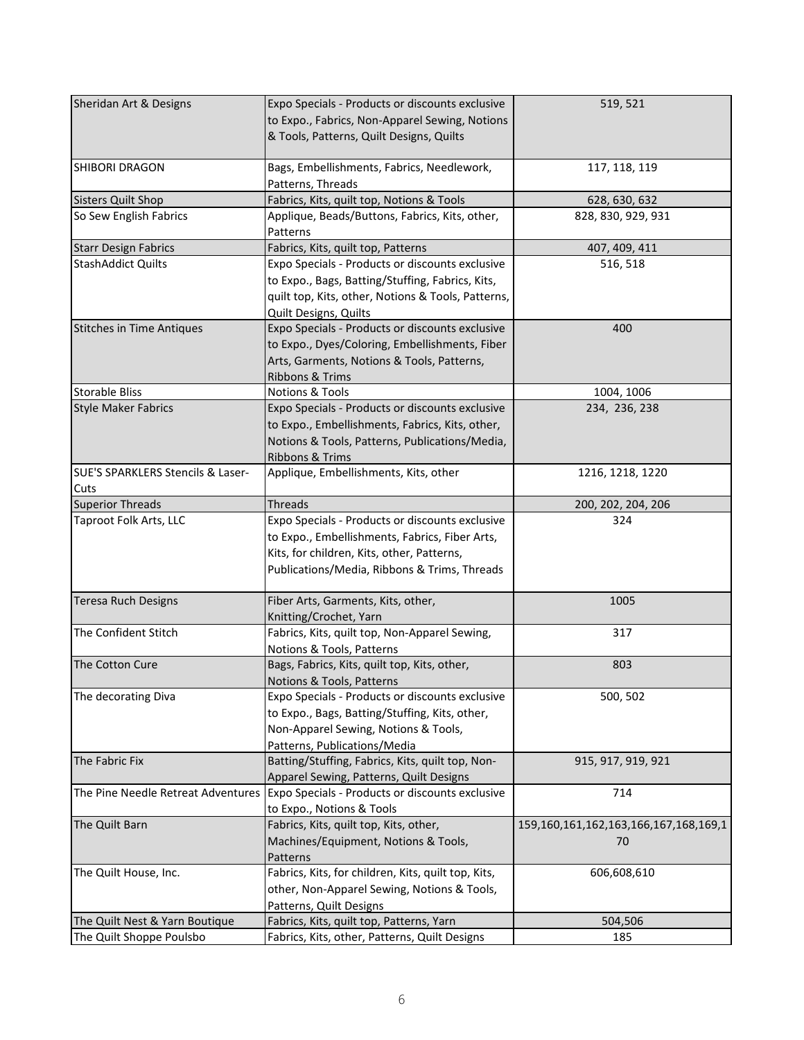| Sheridan Art & Designs             | Expo Specials - Products or discounts exclusive     | 519, 521                              |
|------------------------------------|-----------------------------------------------------|---------------------------------------|
|                                    | to Expo., Fabrics, Non-Apparel Sewing, Notions      |                                       |
|                                    | & Tools, Patterns, Quilt Designs, Quilts            |                                       |
|                                    |                                                     |                                       |
| SHIBORI DRAGON                     | Bags, Embellishments, Fabrics, Needlework,          | 117, 118, 119                         |
|                                    | Patterns, Threads                                   |                                       |
| <b>Sisters Quilt Shop</b>          | Fabrics, Kits, quilt top, Notions & Tools           | 628, 630, 632                         |
| So Sew English Fabrics             | Applique, Beads/Buttons, Fabrics, Kits, other,      | 828, 830, 929, 931                    |
|                                    |                                                     |                                       |
|                                    | Patterns                                            |                                       |
| <b>Starr Design Fabrics</b>        | Fabrics, Kits, quilt top, Patterns                  | 407, 409, 411                         |
| <b>StashAddict Quilts</b>          | Expo Specials - Products or discounts exclusive     | 516, 518                              |
|                                    | to Expo., Bags, Batting/Stuffing, Fabrics, Kits,    |                                       |
|                                    | quilt top, Kits, other, Notions & Tools, Patterns,  |                                       |
|                                    | Quilt Designs, Quilts                               |                                       |
| <b>Stitches in Time Antiques</b>   | Expo Specials - Products or discounts exclusive     | 400                                   |
|                                    | to Expo., Dyes/Coloring, Embellishments, Fiber      |                                       |
|                                    | Arts, Garments, Notions & Tools, Patterns,          |                                       |
|                                    |                                                     |                                       |
|                                    | Ribbons & Trims                                     |                                       |
| <b>Storable Bliss</b>              | <b>Notions &amp; Tools</b>                          | 1004, 1006                            |
| <b>Style Maker Fabrics</b>         | Expo Specials - Products or discounts exclusive     | 234, 236, 238                         |
|                                    | to Expo., Embellishments, Fabrics, Kits, other,     |                                       |
|                                    | Notions & Tools, Patterns, Publications/Media,      |                                       |
|                                    | Ribbons & Trims                                     |                                       |
| SUE'S SPARKLERS Stencils & Laser-  | Applique, Embellishments, Kits, other               | 1216, 1218, 1220                      |
| Cuts                               |                                                     |                                       |
| <b>Superior Threads</b>            | <b>Threads</b>                                      | 200, 202, 204, 206                    |
|                                    |                                                     |                                       |
| Taproot Folk Arts, LLC             | Expo Specials - Products or discounts exclusive     | 324                                   |
|                                    | to Expo., Embellishments, Fabrics, Fiber Arts,      |                                       |
|                                    | Kits, for children, Kits, other, Patterns,          |                                       |
|                                    | Publications/Media, Ribbons & Trims, Threads        |                                       |
|                                    |                                                     |                                       |
| <b>Teresa Ruch Designs</b>         | Fiber Arts, Garments, Kits, other,                  | 1005                                  |
|                                    | Knitting/Crochet, Yarn                              |                                       |
| The Confident Stitch               | Fabrics, Kits, quilt top, Non-Apparel Sewing,       | 317                                   |
|                                    | Notions & Tools, Patterns                           |                                       |
| The Cotton Cure                    | Bags, Fabrics, Kits, quilt top, Kits, other,        | 803                                   |
|                                    |                                                     |                                       |
|                                    | Notions & Tools, Patterns                           |                                       |
| The decorating Diva                | Expo Specials - Products or discounts exclusive     | 500, 502                              |
|                                    | to Expo., Bags, Batting/Stuffing, Kits, other,      |                                       |
|                                    | Non-Apparel Sewing, Notions & Tools,                |                                       |
|                                    | Patterns, Publications/Media                        |                                       |
| The Fabric Fix                     | Batting/Stuffing, Fabrics, Kits, quilt top, Non-    | 915, 917, 919, 921                    |
|                                    | Apparel Sewing, Patterns, Quilt Designs             |                                       |
| The Pine Needle Retreat Adventures | Expo Specials - Products or discounts exclusive     | 714                                   |
|                                    | to Expo., Notions & Tools                           |                                       |
| The Quilt Barn                     |                                                     | 159,160,161,162,163,166,167,168,169,1 |
|                                    | Fabrics, Kits, quilt top, Kits, other,              |                                       |
|                                    | Machines/Equipment, Notions & Tools,                | 70                                    |
|                                    | Patterns                                            |                                       |
| The Quilt House, Inc.              | Fabrics, Kits, for children, Kits, quilt top, Kits, | 606,608,610                           |
|                                    | other, Non-Apparel Sewing, Notions & Tools,         |                                       |
|                                    | Patterns, Quilt Designs                             |                                       |
| The Quilt Nest & Yarn Boutique     | Fabrics, Kits, quilt top, Patterns, Yarn            | 504,506                               |
| The Quilt Shoppe Poulsbo           | Fabrics, Kits, other, Patterns, Quilt Designs       | 185                                   |
|                                    |                                                     |                                       |